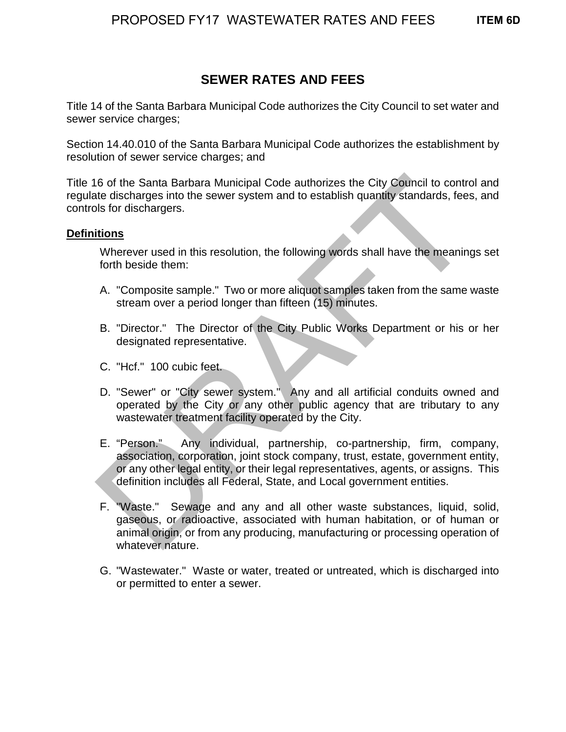# **SEWER RATES AND FEES**

Title 14 of the Santa Barbara Municipal Code authorizes the City Council to set water and sewer service charges;

Section 14.40.010 of the Santa Barbara Municipal Code authorizes the establishment by resolution of sewer service charges; and

Title 16 of the Santa Barbara Municipal Code authorizes the City Council to control and regulate discharges into the sewer system and to establish quantity standards, fees, and controls for dischargers.

# **Definitions**

Wherever used in this resolution, the following words shall have the meanings set forth beside them:

- A. "Composite sample." Two or more aliquot samples taken from the same waste stream over a period longer than fifteen (15) minutes.
- B. "Director." The Director of the City Public Works Department or his or her designated representative.
- C. "Hcf." 100 cubic feet.
- D. "Sewer" or "City sewer system." Any and all artificial conduits owned and operated by the City or any other public agency that are tributary to any wastewater treatment facility operated by the City.
- E. "Person." Any individual, partnership, co-partnership, firm, company, association, corporation, joint stock company, trust, estate, government entity, or any other legal entity, or their legal representatives, agents, or assigns. This definition includes all Federal, State, and Local government entities. In the Santa Barbara Municipal Code authorizes the City Council to contrate discharges into the sewer system and to establish quantity standards, fees<br>bls for dischargers.<br> **itions**<br>
Where we used in this resolution, the f
- F. "Waste." Sewage and any and all other waste substances, liquid, solid, gaseous, or radioactive, associated with human habitation, or of human or animal origin, or from any producing, manufacturing or processing operation of whatever nature.
- G. "Wastewater." Waste or water, treated or untreated, which is discharged into or permitted to enter a sewer.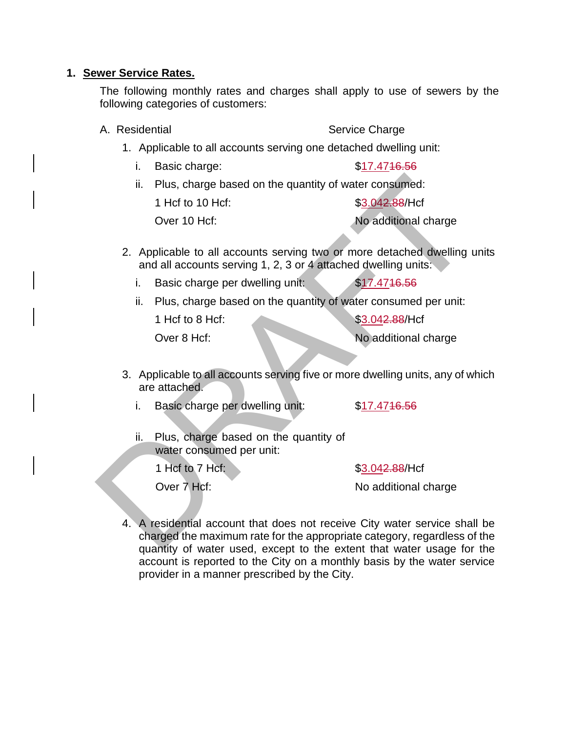#### **1. Sewer Service Rates.**

The following monthly rates and charges shall apply to use of sewers by the following categories of customers:

#### A. Residential Service Charge

- 1. Applicable to all accounts serving one detached dwelling unit:
	- i. Basic charge:  $$17.4716.56$
	- ii. Plus, charge based on the quantity of water consumed:

1 Hcf to 10 Hcf:  $$3.042.88/He$ 

Over 10 Hcf: No additional charge

- 2. Applicable to all accounts serving two or more detached dwelling units and all accounts serving 1, 2, 3 or 4 attached dwelling units:
	- i. Basic charge per dwelling unit: \$17.4716.56
	- ii. Plus, charge based on the quantity of water consumed per unit:

1 Hcf to 8 Hcf: \$3.042.88/Hcf

Over 8 Hcf: No additional charge

- 3. Applicable to all accounts serving five or more dwelling units, any of which are attached.
	- i. Basic charge per dwelling unit: \$17.4716.56
	- ii. Plus, charge based on the quantity of water consumed per unit:

1 Hcf to 7 Hcf:  $$3.042.88/He$ 

Over 7 Hcf: No additional charge

4. A residential account that does not receive City water service shall be charged the maximum rate for the appropriate category, regardless of the quantity of water used, except to the extent that water usage for the account is reported to the City on a monthly basis by the water service provider in a manner prescribed by the City. ii. Plus, charge based on the quantity of water consumed:<br>
1 Hcf to 10 Hcf:<br>
Samplical cover 10 Hcf:<br>
Samplical cover to Hcf:<br>
No additional charge<br>
2. Applicable to all accounts serving two or more detached dwelling<br>
and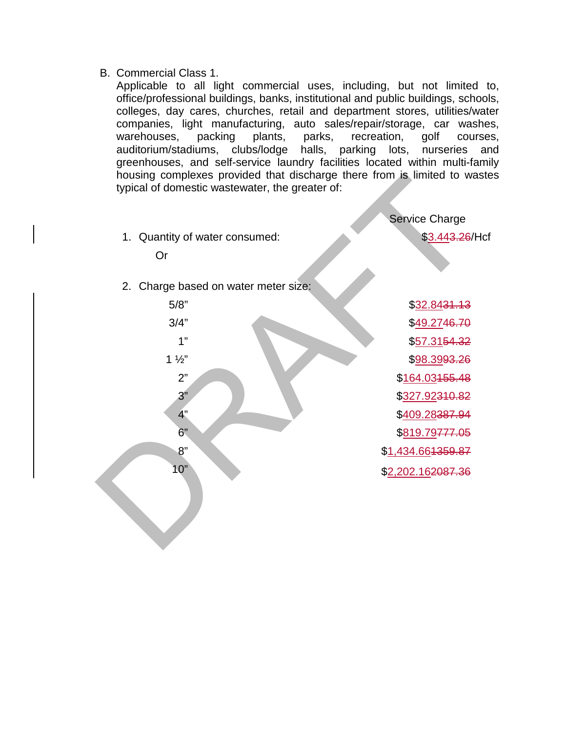B. Commercial Class 1.

Applicable to all light commercial uses, including, but not limited to, office/professional buildings, banks, institutional and public buildings, schools, colleges, day cares, churches, retail and department stores, utilities/water companies, light manufacturing, auto sales/repair/storage, car washes, warehouses, packing plants, parks, recreation, golf courses, auditorium/stadiums, clubs/lodge halls, parking lots, nurseries and greenhouses, and self-service laundry facilities located within multi-family housing complexes provided that discharge there from is limited to wastes typical of domestic wastewater, the greater of:

Service Charge 1. Quantity of water consumed:  $$3.443.26/Hc$ Or 2. Charge based on water meter size: 5/8" \$32.8431.13  $3/4"$   $$49.2746.70$ 1"  $$57.3154.32$  $1\frac{1}{2}$  \$98.39<del>93.26</del> 2" \$164.03455.48 3" \$327.92310.82 4"  $$409.28387.94$ 6" \$819.79<del>777.05</del> 8" \$1,434.66<del>1359.87</del> 10" \$2,202.162087.36 Nousing complexes provided that discharge there from is limited to w<br>typical of domestic wastewater, the greater of:<br>
Service Charge<br>
1. Quantity of water consumed:<br>
Satisface<br>
Or<br>
2. Charge based on water meter size;<br>
5/8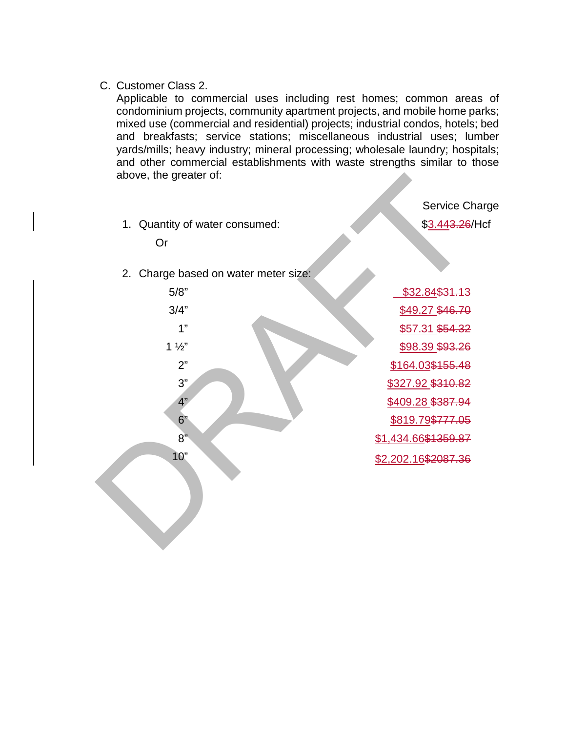C. Customer Class 2.

Applicable to commercial uses including rest homes; common areas of condominium projects, community apartment projects, and mobile home parks; mixed use (commercial and residential) projects; industrial condos, hotels; bed and breakfasts; service stations; miscellaneous industrial uses; lumber yards/mills; heavy industry; mineral processing; wholesale laundry; hospitals; and other commercial establishments with waste strengths similar to those above, the greater of:

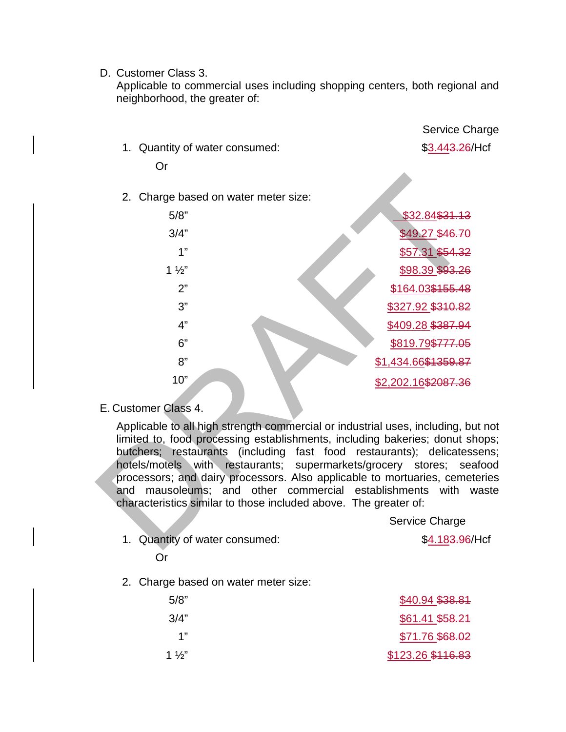#### D. Customer Class 3.

Applicable to commercial uses including shopping centers, both regional and neighborhood, the greater of:

|                                                                                                                                                                                                                                                                                                                                                                                                                                                                                                                                                    | Service Charge              |  |  |
|----------------------------------------------------------------------------------------------------------------------------------------------------------------------------------------------------------------------------------------------------------------------------------------------------------------------------------------------------------------------------------------------------------------------------------------------------------------------------------------------------------------------------------------------------|-----------------------------|--|--|
| 1. Quantity of water consumed:                                                                                                                                                                                                                                                                                                                                                                                                                                                                                                                     | \$3.443.26/Hcf              |  |  |
| Or                                                                                                                                                                                                                                                                                                                                                                                                                                                                                                                                                 |                             |  |  |
|                                                                                                                                                                                                                                                                                                                                                                                                                                                                                                                                                    |                             |  |  |
| 2. Charge based on water meter size:                                                                                                                                                                                                                                                                                                                                                                                                                                                                                                               |                             |  |  |
| 5/8"                                                                                                                                                                                                                                                                                                                                                                                                                                                                                                                                               | \$32.84\$31.13              |  |  |
| 3/4"                                                                                                                                                                                                                                                                                                                                                                                                                                                                                                                                               | \$49.27 \$46.70             |  |  |
| 1"                                                                                                                                                                                                                                                                                                                                                                                                                                                                                                                                                 | \$57.31 \$54.32             |  |  |
| $1\frac{1}{2}$                                                                                                                                                                                                                                                                                                                                                                                                                                                                                                                                     | \$98.39 \$93.26             |  |  |
| 2"                                                                                                                                                                                                                                                                                                                                                                                                                                                                                                                                                 | \$164.03\$155.48            |  |  |
| 3"                                                                                                                                                                                                                                                                                                                                                                                                                                                                                                                                                 | \$327.92 \$310.82           |  |  |
| 4"                                                                                                                                                                                                                                                                                                                                                                                                                                                                                                                                                 | \$409.28 \$387.94           |  |  |
| 6"                                                                                                                                                                                                                                                                                                                                                                                                                                                                                                                                                 | \$819.79\$777.05            |  |  |
| 8"                                                                                                                                                                                                                                                                                                                                                                                                                                                                                                                                                 | \$1,434.66\$1359.87         |  |  |
| 10"                                                                                                                                                                                                                                                                                                                                                                                                                                                                                                                                                | \$2,202.16\$2087.36         |  |  |
|                                                                                                                                                                                                                                                                                                                                                                                                                                                                                                                                                    |                             |  |  |
| E. Customer Class 4.                                                                                                                                                                                                                                                                                                                                                                                                                                                                                                                               |                             |  |  |
| Applicable to all high strength commercial or industrial uses, including, but not<br>limited to, food processing establishments, including bakeries; donut shops;<br>butchers; restaurants (including fast food restaurants); delicatessens;<br>hotels/motels with restaurants; supermarkets/grocery stores; seafood<br>processors; and dairy processors. Also applicable to mortuaries, cemeteries<br>mausoleums; and other commercial establishments<br>with<br>waste<br>and<br>characteristics similar to those included above. The greater of: |                             |  |  |
|                                                                                                                                                                                                                                                                                                                                                                                                                                                                                                                                                    | Service Charge              |  |  |
| 1. Quantity of water consumed:                                                                                                                                                                                                                                                                                                                                                                                                                                                                                                                     | \$4.18 <del>3.96</del> /Hcf |  |  |

- 
- 1. Quantity of water consumed:  $$4.183.96/Hc$

# Or

2. Charge based on water meter size:

| 5/8"           | \$40.94 \$38.81   |
|----------------|-------------------|
| 3/4"           | \$61.41 \$58.21   |
| 1"             | \$71.76 \$68.02   |
| $1\frac{1}{2}$ | \$123.26 \$116.83 |
|                |                   |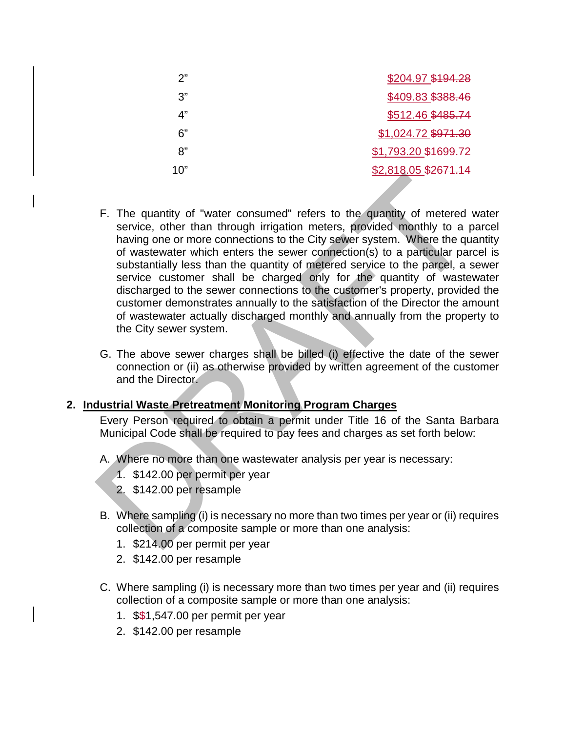| \$204.97 \$194.28    |
|----------------------|
| \$409.83 \$388.46    |
| \$512.46 \$485.74    |
| \$1,024.72 \$971.30  |
| \$1,793.20 \$1699.72 |
| \$2,818.05 \$2671.14 |
|                      |

- F. The quantity of "water consumed" refers to the quantity of metered water service, other than through irrigation meters, provided monthly to a parcel having one or more connections to the City sewer system. Where the quantity of wastewater which enters the sewer connection(s) to a particular parcel is substantially less than the quantity of metered service to the parcel, a sewer service customer shall be charged only for the quantity of wastewater discharged to the sewer connections to the customer's property, provided the customer demonstrates annually to the satisfaction of the Director the amount of wastewater actually discharged monthly and annually from the property to the City sewer system. F. The quantity of "water consumed" refers to the quantity of metered<br>service, other than through irrigation meters, provided monthly to a having one or more connections to the City sewer system. Where the query contracts
- G. The above sewer charges shall be billed (i) effective the date of the sewer connection or (ii) as otherwise provided by written agreement of the customer and the Director.

# **2. Industrial Waste Pretreatment Monitoring Program Charges**

Every Person required to obtain a permit under Title 16 of the Santa Barbara Municipal Code shall be required to pay fees and charges as set forth below:

- A. Where no more than one wastewater analysis per year is necessary:
	- 1. \$142.00 per permit per year
	- 2. \$142.00 per resample
- B. Where sampling (i) is necessary no more than two times per year or (ii) requires collection of a composite sample or more than one analysis:
	- 1. \$214.00 per permit per year
	- 2. \$142.00 per resample
- C. Where sampling (i) is necessary more than two times per year and (ii) requires collection of a composite sample or more than one analysis:
	- 1. \$\$1,547.00 per permit per year
	- 2. \$142.00 per resample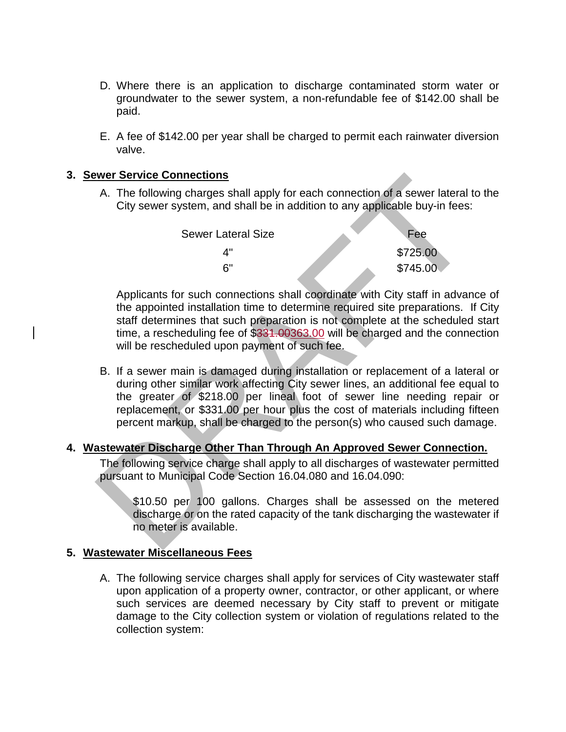- D. Where there is an application to discharge contaminated storm water or groundwater to the sewer system, a non-refundable fee of \$142.00 shall be paid.
- E. A fee of \$142.00 per year shall be charged to permit each rainwater diversion valve.

# **3. Sewer Service Connections**

A. The following charges shall apply for each connection of a sewer lateral to the City sewer system, and shall be in addition to any applicable buy-in fees:

| Sewer Lateral Size | Fee      |
|--------------------|----------|
| ⊿"                 | \$725.00 |
| ิ "                | \$745.00 |
|                    |          |

Applicants for such connections shall coordinate with City staff in advance of the appointed installation time to determine required site preparations. If City staff determines that such preparation is not complete at the scheduled start time, a rescheduling fee of \$331.00363.00 will be charged and the connection will be rescheduled upon payment of such fee.

B. If a sewer main is damaged during installation or replacement of a lateral or during other similar work affecting City sewer lines, an additional fee equal to the greater of \$218.00 per lineal foot of sewer line needing repair or replacement, or \$331.00 per hour plus the cost of materials including fifteen percent markup, shall be charged to the person(s) who caused such damage. Wer Service Connections<br>
A. The following charges shall apply for each connection of a sewer lateral<br>
City sewer system, and shall be in addition to any applicable buy-in fees:<br>
Sewer Lateral Size<br>  $\begin{array}{r} 6^{\circ} \\ 4^{\circ} \\ 5$ 

# **4. Wastewater Discharge Other Than Through An Approved Sewer Connection.**

The following service charge shall apply to all discharges of wastewater permitted pursuant to Municipal Code Section 16.04.080 and 16.04.090:

\$10.50 per 100 gallons. Charges shall be assessed on the metered discharge or on the rated capacity of the tank discharging the wastewater if no meter is available.

# **5. Wastewater Miscellaneous Fees**

A. The following service charges shall apply for services of City wastewater staff upon application of a property owner, contractor, or other applicant, or where such services are deemed necessary by City staff to prevent or mitigate damage to the City collection system or violation of regulations related to the collection system: